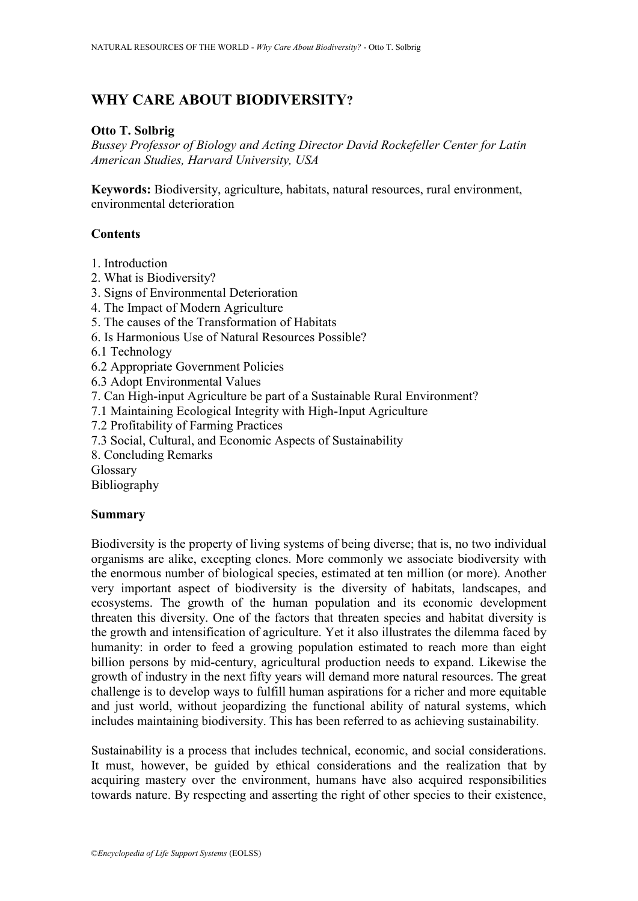# **WHY CARE ABOUT BIODIVERSITY?**

## **Otto T. Solbrig**

*Bussey Professor of Biology and Acting Director David Rockefeller Center for Latin American Studies, Harvard University, USA*

**Keywords:** Biodiversity, agriculture, habitats, natural resources, rural environment, environmental deterioration

## **Contents**

- 1. Introduction
- 2. What is Biodiversity?
- 3. Signs of Environmental Deterioration
- 4. The Impact of Modern Agriculture
- 5. The causes of the Transformation of Habitats
- 6. Is Harmonious Use of Natural Resources Possible?
- 6.1 Technology
- 6.2 Appropriate Government Policies
- 6.3 Adopt Environmental Values
- 7. Can High-input Agriculture be part of a Sustainable Rural Environment?
- 7.1 Maintaining Ecological Integrity with High-Input Agriculture
- 7.2 Profitability of Farming Practices
- 7.3 Social, Cultural, and Economic Aspects of Sustainability
- 8. Concluding Remarks
- Glossary

Bibliography

### **Summary**

Biodiversity is the property of living systems of being diverse; that is, no two individual organisms are alike, excepting clones. More commonly we associate biodiversity with the enormous number of biological species, estimated at ten million (or more). Another very important aspect of biodiversity is the diversity of habitats, landscapes, and ecosystems. The growth of the human population and its economic development threaten this diversity. One of the factors that threaten species and habitat diversity is the growth and intensification of agriculture. Yet it also illustrates the dilemma faced by humanity: in order to feed a growing population estimated to reach more than eight billion persons by mid-century, agricultural production needs to expand. Likewise the growth of industry in the next fifty years will demand more natural resources. The great challenge is to develop ways to fulfill human aspirations for a richer and more equitable and just world, without jeopardizing the functional ability of natural systems, which includes maintaining biodiversity. This has been referred to as achieving sustainability.

Sustainability is a process that includes technical, economic, and social considerations. It must, however, be guided by ethical considerations and the realization that by acquiring mastery over the environment, humans have also acquired responsibilities towards nature. By respecting and asserting the right of other species to their existence,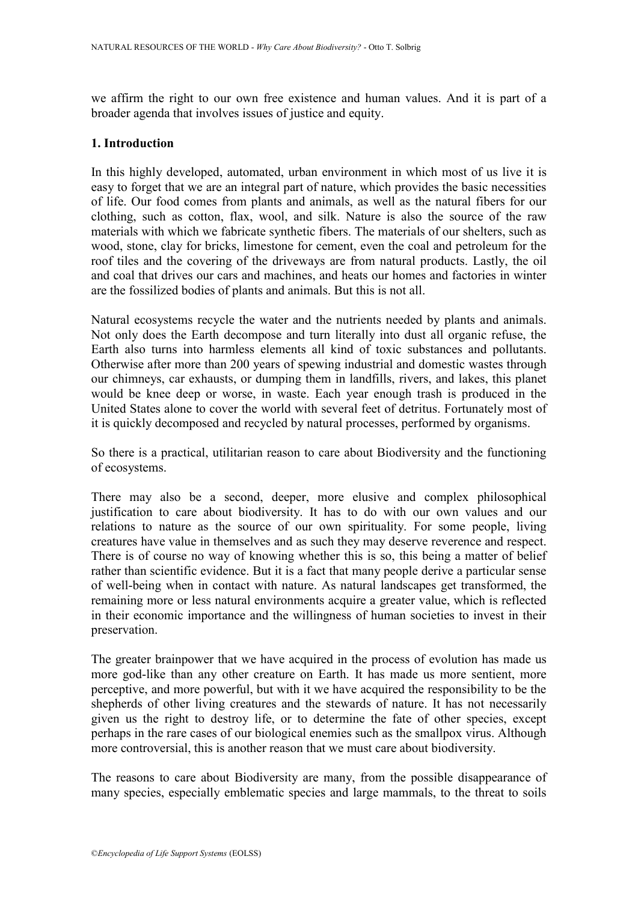we affirm the right to our own free existence and human values. And it is part of a broader agenda that involves issues of justice and equity.

#### **1. Introduction**

In this highly developed, automated, urban environment in which most of us live it is easy to forget that we are an integral part of nature, which provides the basic necessities of life. Our food comes from plants and animals, as well as the natural fibers for our clothing, such as cotton, flax, wool, and silk. Nature is also the source of the raw materials with which we fabricate synthetic fibers. The materials of our shelters, such as wood, stone, clay for bricks, limestone for cement, even the coal and petroleum for the roof tiles and the covering of the driveways are from natural products. Lastly, the oil and coal that drives our cars and machines, and heats our homes and factories in winter are the fossilized bodies of plants and animals. But this is not all.

Natural ecosystems recycle the water and the nutrients needed by plants and animals. Not only does the Earth decompose and turn literally into dust all organic refuse, the Earth also turns into harmless elements all kind of toxic substances and pollutants. Otherwise after more than 200 years of spewing industrial and domestic wastes through our chimneys, car exhausts, or dumping them in landfills, rivers, and lakes, this planet would be knee deep or worse, in waste. Each year enough trash is produced in the United States alone to cover the world with several feet of detritus. Fortunately most of it is quickly decomposed and recycled by natural processes, performed by organisms.

So there is a practical, utilitarian reason to care about Biodiversity and the functioning of ecosystems.

There may also be a second, deeper, more elusive and complex philosophical justification to care about biodiversity. It has to do with our own values and our relations to nature as the source of our own spirituality. For some people, living creatures have value in themselves and as such they may deserve reverence and respect. There is of course no way of knowing whether this is so, this being a matter of belief rather than scientific evidence. But it is a fact that many people derive a particular sense of well-being when in contact with nature. As natural landscapes get transformed, the remaining more or less natural environments acquire a greater value, which is reflected in their economic importance and the willingness of human societies to invest in their preservation.

The greater brainpower that we have acquired in the process of evolution has made us more god-like than any other creature on Earth. It has made us more sentient, more perceptive, and more powerful, but with it we have acquired the responsibility to be the shepherds of other living creatures and the stewards of nature. It has not necessarily given us the right to destroy life, or to determine the fate of other species, except perhaps in the rare cases of our biological enemies such as the smallpox virus. Although more controversial, this is another reason that we must care about biodiversity.

The reasons to care about Biodiversity are many, from the possible disappearance of many species, especially emblematic species and large mammals, to the threat to soils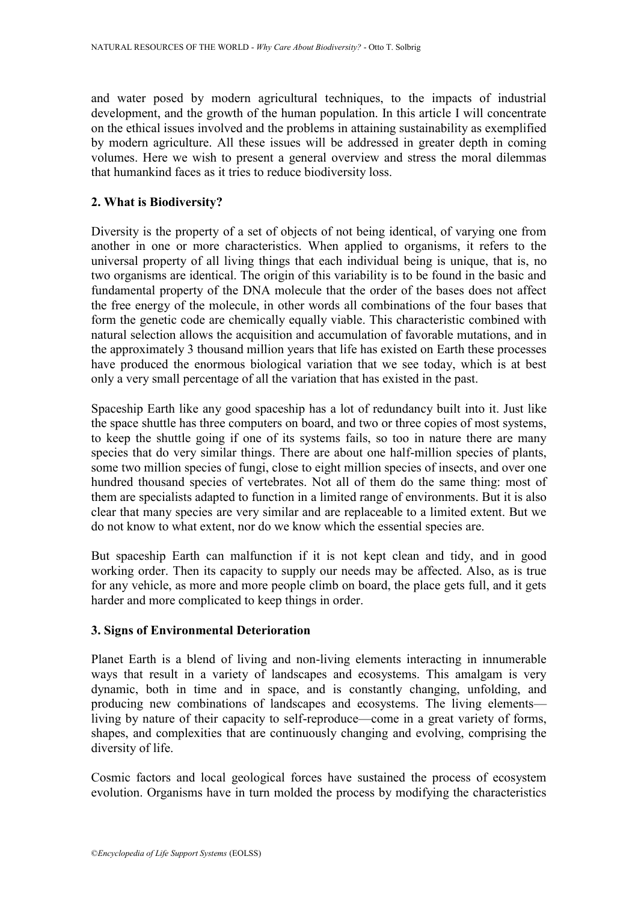and water posed by modern agricultural techniques, to the impacts of industrial development, and the growth of the human population. In this article I will concentrate on the ethical issues involved and the problems in attaining sustainability as exemplified by modern agriculture. All these issues will be addressed in greater depth in coming volumes. Here we wish to present a general overview and stress the moral dilemmas that humankind faces as it tries to reduce biodiversity loss.

### **2. What is Biodiversity?**

Diversity is the property of a set of objects of not being identical, of varying one from another in one or more characteristics. When applied to organisms, it refers to the universal property of all living things that each individual being is unique, that is, no two organisms are identical. The origin of this variability is to be found in the basic and fundamental property of the DNA molecule that the order of the bases does not affect the free energy of the molecule, in other words all combinations of the four bases that form the genetic code are chemically equally viable. This characteristic combined with natural selection allows the acquisition and accumulation of favorable mutations, and in the approximately 3 thousand million years that life has existed on Earth these processes have produced the enormous biological variation that we see today, which is at best only a very small percentage of all the variation that has existed in the past.

Spaceship Earth like any good spaceship has a lot of redundancy built into it. Just like the space shuttle has three computers on board, and two or three copies of most systems, to keep the shuttle going if one of its systems fails, so too in nature there are many species that do very similar things. There are about one half-million species of plants, some two million species of fungi, close to eight million species of insects, and over one hundred thousand species of vertebrates. Not all of them do the same thing: most of them are specialists adapted to function in a limited range of environments. But it is also clear that many species are very similar and are replaceable to a limited extent. But we do not know to what extent, nor do we know which the essential species are.

But spaceship Earth can malfunction if it is not kept clean and tidy, and in good working order. Then its capacity to supply our needs may be affected. Also, as is true for any vehicle, as more and more people climb on board, the place gets full, and it gets harder and more complicated to keep things in order.

### **3. Signs of Environmental Deterioration**

Planet Earth is a blend of living and non-living elements interacting in innumerable ways that result in a variety of landscapes and ecosystems. This amalgam is very dynamic, both in time and in space, and is constantly changing, unfolding, and producing new combinations of landscapes and ecosystems. The living elements living by nature of their capacity to self-reproduce—come in a great variety of forms, shapes, and complexities that are continuously changing and evolving, comprising the diversity of life.

Cosmic factors and local geological forces have sustained the process of ecosystem evolution. Organisms have in turn molded the process by modifying the characteristics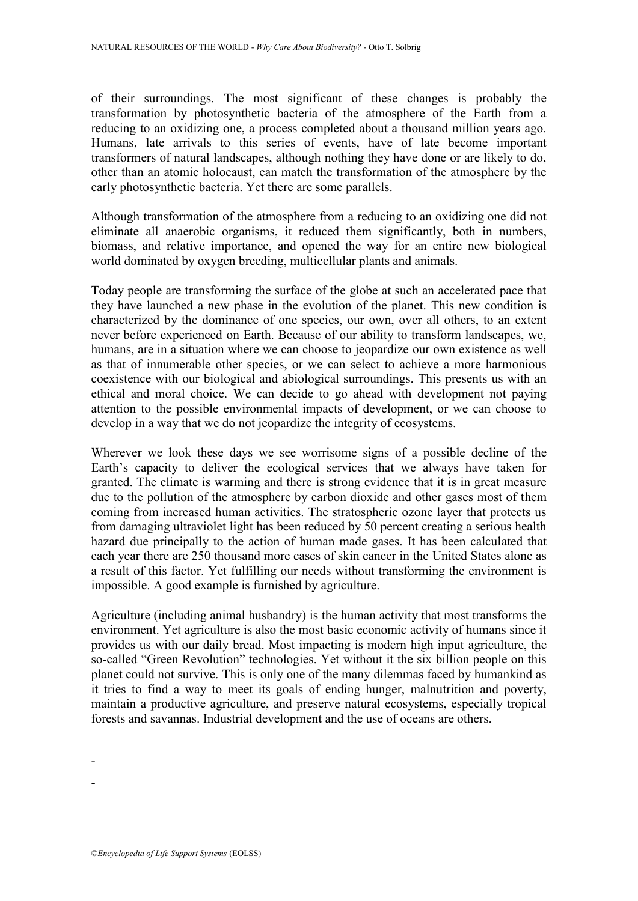of their surroundings. The most significant of these changes is probably the transformation by photosynthetic bacteria of the atmosphere of the Earth from a reducing to an oxidizing one, a process completed about a thousand million years ago. Humans, late arrivals to this series of events, have of late become important transformers of natural landscapes, although nothing they have done or are likely to do, other than an atomic holocaust, can match the transformation of the atmosphere by the early photosynthetic bacteria. Yet there are some parallels.

Although transformation of the atmosphere from a reducing to an oxidizing one did not eliminate all anaerobic organisms, it reduced them significantly, both in numbers, biomass, and relative importance, and opened the way for an entire new biological world dominated by oxygen breeding, multicellular plants and animals.

Today people are transforming the surface of the globe at such an accelerated pace that they have launched a new phase in the evolution of the planet. This new condition is characterized by the dominance of one species, our own, over all others, to an extent never before experienced on Earth. Because of our ability to transform landscapes, we, humans, are in a situation where we can choose to jeopardize our own existence as well as that of innumerable other species, or we can select to achieve a more harmonious coexistence with our biological and abiological surroundings. This presents us with an ethical and moral choice. We can decide to go ahead with development not paying attention to the possible environmental impacts of development, or we can choose to develop in a way that we do not jeopardize the integrity of ecosystems.

Wherever we look these days we see worrisome signs of a possible decline of the Earth's capacity to deliver the ecological services that we always have taken for granted. The climate is warming and there is strong evidence that it is in great measure due to the pollution of the atmosphere by carbon dioxide and other gases most of them coming from increased human activities. The stratospheric ozone layer that protects us from damaging ultraviolet light has been reduced by 50 percent creating a serious health hazard due principally to the action of human made gases. It has been calculated that each year there are 250 thousand more cases of skin cancer in the United States alone as a result of this factor. Yet fulfilling our needs without transforming the environment is impossible. A good example is furnished by agriculture.

Agriculture (including animal husbandry) is the human activity that most transforms the environment. Yet agriculture is also the most basic economic activity of humans since it provides us with our daily bread. Most impacting is modern high input agriculture, the so-called "Green Revolution" technologies. Yet without it the six billion people on this planet could not survive. This is only one of the many dilemmas faced by humankind as it tries to find a way to meet its goals of ending hunger, malnutrition and poverty, maintain a productive agriculture, and preserve natural ecosystems, especially tropical forests and savannas. Industrial development and the use of oceans are others.

-

-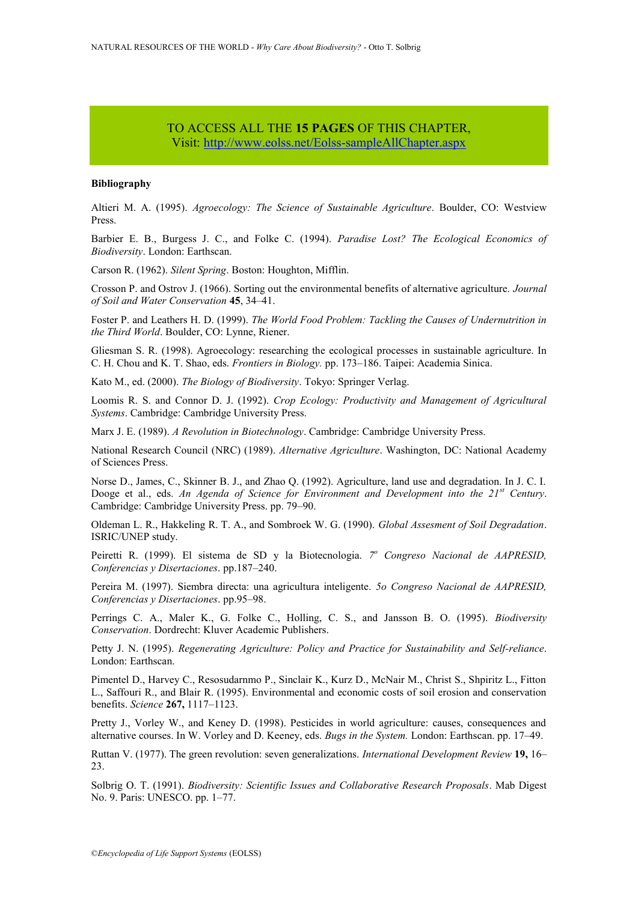### TO ACCESS ALL THE **15 PAGES** OF THIS CHAPTER, Vi[sit:](https://www.eolss.net/ebooklib/sc_cart.aspx?File=E1-02-12) <http://www.eolss.net/Eolss-sampleAllChapter.aspx>

#### **Bibliography**

Altieri M. A. (1995). *Agroecology: The Science of Sustainable Agriculture*. Boulder, CO: Westview Press.

Barbier E. B., Burgess J. C., and Folke C. (1994). *Paradise Lost? The Ecological Economics of Biodiversity*. London: Earthscan.

Carson R. (1962). *Silent Spring*. Boston: Houghton, Mifflin.

Crosson P. and Ostrov J. (1966). Sorting out the environmental benefits of alternative agriculture. *Journal of Soil and Water Conservation* **45**, 34–41.

Foster P. and Leathers H. D. (1999). *The World Food Problem: Tackling the Causes of Undernutrition in the Third World*. Boulder, CO: Lynne, Riener.

Gliesman S. R. (1998). Agroecology: researching the ecological processes in sustainable agriculture. In C. H. Chou and K. T. Shao, eds. *Frontiers in Biology.* pp. 173–186. Taipei: Academia Sinica.

Kato M., ed. (2000). *The Biology of Biodiversity*. Tokyo: Springer Verlag.

Loomis R. S. and Connor D. J. (1992). *Crop Ecology: Productivity and Management of Agricultural Systems*. Cambridge: Cambridge University Press.

Marx J. E. (1989). *A Revolution in Biotechnology*. Cambridge: Cambridge University Press.

National Research Council (NRC) (1989). *Alternative Agriculture*. Washington, DC: National Academy of Sciences Press.

Norse D., James, C., Skinner B. J., and Zhao Q. (1992). Agriculture, land use and degradation. In J. C. I. Dooge et al., eds. *An Agenda of Science for Environment and Development into the 21st Century*. Cambridge: Cambridge University Press. pp. 79–90.

Oldeman L. R., Hakkeling R. T. A., and Sombroek W. G. (1990). *Global Assesment of Soil Degradation*. ISRIC/UNEP study.

Peiretti R. (1999). El sistema de SD y la Biotecnologia. <sup>7º</sup> Congreso Nacional de AAPRESID, *Conferencias y Disertaciones*. pp.187–240.

Pereira M. (1997). Siembra directa: una agricultura inteligente. *5o Congreso Nacional de AAPRESID, Conferencias y Disertaciones*. pp.95–98.

Perrings C. A., Maler K., G. Folke C., Holling, C. S., and Jansson B. O. (1995). *Biodiversity Conservation*. Dordrecht: Kluver Academic Publishers.

Petty J. N. (1995). *Regenerating Agriculture: Policy and Practice for Sustainability and Self-reliance*. London: Earthscan.

Pimentel D., Harvey C., Resosudarnmo P., Sinclair K., Kurz D., McNair M., Christ S., Shpiritz L., Fitton L., Saffouri R., and Blair R. (1995). Environmental and economic costs of soil erosion and conservation benefits. *Science* **267,** 1117–1123.

Pretty J., Vorley W., and Keney D. (1998). Pesticides in world agriculture: causes, consequences and alternative courses. In W. Vorley and D. Keeney, eds. *Bugs in the System.* London: Earthscan. pp. 17–49.

Ruttan V. (1977). The green revolution: seven generalizations. *International Development Review* **19,** 16– 23.

Solbrig O. T. (1991). *Biodiversity: Scientific Issues and Collaborative Research Proposals*. Mab Digest No. 9. Paris: UNESCO. pp. 1–77.